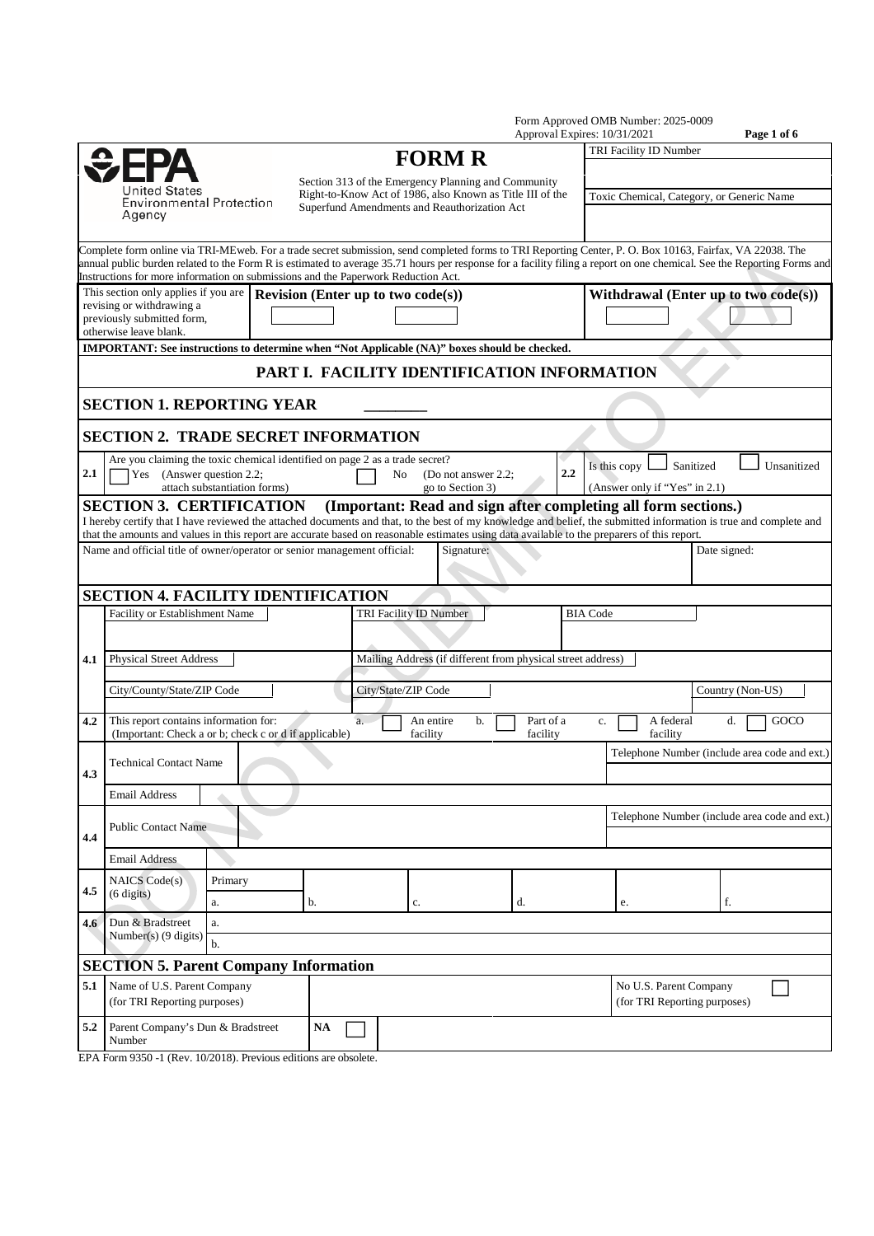|                                                                      |                                                                                                                                             |                              |    |    |                                                                                                           |    |                       | Form Approved OMB Number: 2025-0009<br>Approval Expires: 10/31/2021 | Page 1 of 6                                                                                                                                                                                                                                                                                                                         |  |  |
|----------------------------------------------------------------------|---------------------------------------------------------------------------------------------------------------------------------------------|------------------------------|----|----|-----------------------------------------------------------------------------------------------------------|----|-----------------------|---------------------------------------------------------------------|-------------------------------------------------------------------------------------------------------------------------------------------------------------------------------------------------------------------------------------------------------------------------------------------------------------------------------------|--|--|
|                                                                      |                                                                                                                                             |                              |    |    | <b>FORM R</b>                                                                                             |    |                       | TRI Facility ID Number                                              |                                                                                                                                                                                                                                                                                                                                     |  |  |
| $E$ FP<br>United States<br><b>Environmental Protection</b><br>Agency |                                                                                                                                             |                              |    |    | Section 313 of the Emergency Planning and Community                                                       |    |                       |                                                                     |                                                                                                                                                                                                                                                                                                                                     |  |  |
|                                                                      |                                                                                                                                             |                              |    |    | Right-to-Know Act of 1986, also Known as Title III of the<br>Superfund Amendments and Reauthorization Act |    |                       | Toxic Chemical, Category, or Generic Name                           |                                                                                                                                                                                                                                                                                                                                     |  |  |
|                                                                      | Instructions for more information on submissions and the Paperwork Reduction Act.                                                           |                              |    |    |                                                                                                           |    |                       |                                                                     | Complete form online via TRI-MEweb. For a trade secret submission, send completed forms to TRI Reporting Center, P. O. Box 10163, Fairfax, VA 22038. The<br>annual public burden related to the Form R is estimated to average 35.71 hours per response for a facility filing a report on one chemical. See the Reporting Forms and |  |  |
|                                                                      | This section only applies if you are<br>revising or withdrawing a                                                                           |                              |    |    | <b>Revision (Enter up to two code(s))</b>                                                                 |    |                       | Withdrawal (Enter up to two code(s))                                |                                                                                                                                                                                                                                                                                                                                     |  |  |
|                                                                      | previously submitted form,<br>otherwise leave blank.                                                                                        |                              |    |    |                                                                                                           |    |                       |                                                                     |                                                                                                                                                                                                                                                                                                                                     |  |  |
|                                                                      | IMPORTANT: See instructions to determine when "Not Applicable (NA)" boxes should be checked.                                                |                              |    |    |                                                                                                           |    |                       |                                                                     |                                                                                                                                                                                                                                                                                                                                     |  |  |
|                                                                      |                                                                                                                                             |                              |    |    | PART I. FACILITY IDENTIFICATION INFORMATION                                                               |    |                       |                                                                     |                                                                                                                                                                                                                                                                                                                                     |  |  |
|                                                                      | <b>SECTION 1. REPORTING YEAR</b>                                                                                                            |                              |    |    |                                                                                                           |    |                       |                                                                     |                                                                                                                                                                                                                                                                                                                                     |  |  |
|                                                                      | <b>SECTION 2. TRADE SECRET INFORMATION</b>                                                                                                  |                              |    |    |                                                                                                           |    |                       |                                                                     |                                                                                                                                                                                                                                                                                                                                     |  |  |
| 2.1                                                                  | Are you claiming the toxic chemical identified on page 2 as a trade secret?<br>Yes (Answer question 2.2;                                    | attach substantiation forms) |    | No | (Do not answer 2.2:<br>go to Section 3)                                                                   |    | 2.2                   | Is this copy<br>(Answer only if "Yes" in 2.1)                       | Sanitized<br>Unsanitized                                                                                                                                                                                                                                                                                                            |  |  |
|                                                                      | <b>SECTION 3. CERTIFICATION</b>                                                                                                             |                              |    |    |                                                                                                           |    |                       | (Important: Read and sign after completing all form sections.)      | I hereby certify that I have reviewed the attached documents and that, to the best of my knowledge and belief, the submitted information is true and complete and                                                                                                                                                                   |  |  |
|                                                                      | that the amounts and values in this report are accurate based on reasonable estimates using data available to the preparers of this report. |                              |    |    |                                                                                                           |    |                       |                                                                     |                                                                                                                                                                                                                                                                                                                                     |  |  |
|                                                                      | Name and official title of owner/operator or senior management official:                                                                    |                              |    |    | Signature:                                                                                                |    |                       |                                                                     | Date signed:                                                                                                                                                                                                                                                                                                                        |  |  |
|                                                                      | <b>SECTION 4. FACILITY IDENTIFICATION</b>                                                                                                   |                              |    |    |                                                                                                           |    |                       |                                                                     |                                                                                                                                                                                                                                                                                                                                     |  |  |
|                                                                      | Facility or Establishment Name                                                                                                              |                              |    |    | TRI Facility ID Number                                                                                    |    |                       | <b>BIA Code</b>                                                     |                                                                                                                                                                                                                                                                                                                                     |  |  |
| 4.1                                                                  | <b>Physical Street Address</b>                                                                                                              |                              |    |    | Mailing Address (if different from physical street address)                                               |    |                       |                                                                     |                                                                                                                                                                                                                                                                                                                                     |  |  |
|                                                                      | City/County/State/ZIP Code                                                                                                                  |                              |    |    | City/State/ZIP Code                                                                                       |    |                       |                                                                     | Country (Non-US)                                                                                                                                                                                                                                                                                                                    |  |  |
| 4.2                                                                  | This report contains information for:<br>(Important: Check a or b; check c or d if applicable)                                              |                              |    | a. | An entire<br>b.<br>facility                                                                               |    | Part of a<br>facility | A federal<br>c.<br>facility                                         | GOCO<br>d.                                                                                                                                                                                                                                                                                                                          |  |  |
| 4.3                                                                  | <b>Technical Contact Name</b>                                                                                                               |                              |    |    |                                                                                                           |    |                       |                                                                     | Telephone Number (include area code and ext.)                                                                                                                                                                                                                                                                                       |  |  |
|                                                                      | <b>Email Address</b>                                                                                                                        |                              |    |    |                                                                                                           |    |                       |                                                                     |                                                                                                                                                                                                                                                                                                                                     |  |  |
| 4.4                                                                  | <b>Public Contact Name</b>                                                                                                                  |                              |    |    |                                                                                                           |    |                       |                                                                     | Telephone Number (include area code and ext.)                                                                                                                                                                                                                                                                                       |  |  |
|                                                                      | <b>Email Address</b>                                                                                                                        |                              |    |    |                                                                                                           |    |                       |                                                                     |                                                                                                                                                                                                                                                                                                                                     |  |  |
| 4.5                                                                  | NAICS Code(s)<br>$(6 \text{ digits})$                                                                                                       | Primary                      |    |    |                                                                                                           |    |                       |                                                                     |                                                                                                                                                                                                                                                                                                                                     |  |  |
| 4.6                                                                  | Dun & Bradstreet                                                                                                                            | a.<br>a.                     | b. |    | c.                                                                                                        | d. |                       | e.                                                                  | f.                                                                                                                                                                                                                                                                                                                                  |  |  |
|                                                                      | Number(s) (9 digits)                                                                                                                        | b.                           |    |    |                                                                                                           |    |                       |                                                                     |                                                                                                                                                                                                                                                                                                                                     |  |  |
|                                                                      | <b>SECTION 5. Parent Company Information</b>                                                                                                |                              |    |    |                                                                                                           |    |                       |                                                                     |                                                                                                                                                                                                                                                                                                                                     |  |  |
| 5.1                                                                  | Name of U.S. Parent Company<br>(for TRI Reporting purposes)                                                                                 |                              |    |    |                                                                                                           |    |                       |                                                                     | No U.S. Parent Company<br>(for TRI Reporting purposes)                                                                                                                                                                                                                                                                              |  |  |
| 5.2                                                                  | Parent Company's Dun & Bradstreet<br>$\mathbf{NA}$<br>Number                                                                                |                              |    |    |                                                                                                           |    |                       |                                                                     |                                                                                                                                                                                                                                                                                                                                     |  |  |

EPA Form 9350 -1 (Rev. 10/2018). Previous editions are obsolete.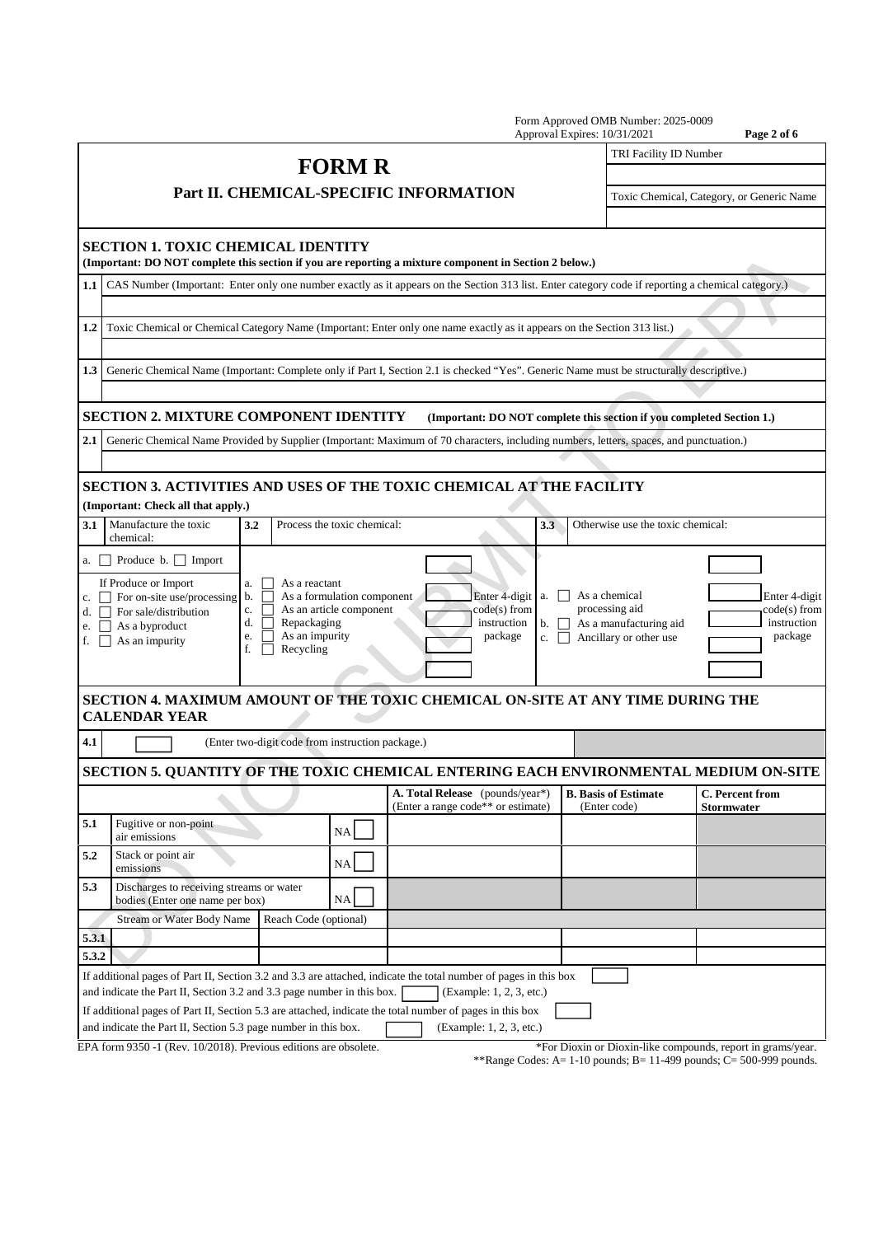|                               |                                                                                                                                        |                                                                                           |                                                       |                                                                                                                                                    | Form Approved OMB Number: 2025-0009<br>Approval Expires: 10/31/2021                 | Page 2 of 6                                                 |  |  |  |  |
|-------------------------------|----------------------------------------------------------------------------------------------------------------------------------------|-------------------------------------------------------------------------------------------|-------------------------------------------------------|----------------------------------------------------------------------------------------------------------------------------------------------------|-------------------------------------------------------------------------------------|-------------------------------------------------------------|--|--|--|--|
|                               |                                                                                                                                        |                                                                                           | <b>FORM R</b>                                         |                                                                                                                                                    | TRI Facility ID Number                                                              |                                                             |  |  |  |  |
|                               |                                                                                                                                        |                                                                                           |                                                       |                                                                                                                                                    |                                                                                     |                                                             |  |  |  |  |
|                               |                                                                                                                                        |                                                                                           |                                                       | Part II. CHEMICAL-SPECIFIC INFORMATION                                                                                                             |                                                                                     | Toxic Chemical, Category, or Generic Name                   |  |  |  |  |
|                               | <b>SECTION 1. TOXIC CHEMICAL IDENTITY</b>                                                                                              |                                                                                           |                                                       | (Important: DO NOT complete this section if you are reporting a mixture component in Section 2 below.)                                             |                                                                                     |                                                             |  |  |  |  |
| $1.1\,$                       |                                                                                                                                        |                                                                                           |                                                       | CAS Number (Important: Enter only one number exactly as it appears on the Section 313 list. Enter category code if reporting a chemical category.) |                                                                                     |                                                             |  |  |  |  |
|                               |                                                                                                                                        |                                                                                           |                                                       |                                                                                                                                                    |                                                                                     |                                                             |  |  |  |  |
| 1.2                           | Toxic Chemical or Chemical Category Name (Important: Enter only one name exactly as it appears on the Section 313 list.)               |                                                                                           |                                                       |                                                                                                                                                    |                                                                                     |                                                             |  |  |  |  |
| 1.3                           |                                                                                                                                        |                                                                                           |                                                       | Generic Chemical Name (Important: Complete only if Part I, Section 2.1 is checked "Yes". Generic Name must be structurally descriptive.)           |                                                                                     |                                                             |  |  |  |  |
|                               |                                                                                                                                        |                                                                                           |                                                       |                                                                                                                                                    |                                                                                     |                                                             |  |  |  |  |
|                               | <b>SECTION 2. MIXTURE COMPONENT IDENTITY</b>                                                                                           |                                                                                           |                                                       | (Important: DO NOT complete this section if you completed Section 1.)                                                                              |                                                                                     |                                                             |  |  |  |  |
| 2.1                           |                                                                                                                                        |                                                                                           |                                                       | Generic Chemical Name Provided by Supplier (Important: Maximum of 70 characters, including numbers, letters, spaces, and punctuation.)             |                                                                                     |                                                             |  |  |  |  |
|                               |                                                                                                                                        |                                                                                           |                                                       |                                                                                                                                                    |                                                                                     |                                                             |  |  |  |  |
|                               | (Important: Check all that apply.)                                                                                                     |                                                                                           |                                                       | <b>SECTION 3. ACTIVITIES AND USES OF THE TOXIC CHEMICAL AT THE FACILITY</b>                                                                        |                                                                                     |                                                             |  |  |  |  |
| 3.1                           | Manufacture the toxic<br>chemical:                                                                                                     | 3.2                                                                                       | Process the toxic chemical:                           | 3.3                                                                                                                                                | Otherwise use the toxic chemical:                                                   |                                                             |  |  |  |  |
|                               | a. $\Box$ Produce b. $\Box$ Import                                                                                                     |                                                                                           |                                                       |                                                                                                                                                    |                                                                                     |                                                             |  |  |  |  |
| d. $\Box$<br>f. $\vert \vert$ | If Produce or Import<br>c. $\Box$ For on-site use/processing b.<br>For sale/distribution<br>e. $\Box$ As a byproduct<br>As an impurity | As a reactant<br>a.<br>c.<br>Repackaging<br>d.<br>As an impurity<br>e.<br>Recycling<br>f. | As a formulation component<br>As an article component | Enter 4-digit a. D<br>code(s) from<br>instruction<br>$\mathbf{b}$ . $\vert \vert$<br>package<br>c. $\vert \vert$                                   | As a chemical<br>processing aid<br>As a manufacturing aid<br>Ancillary or other use | Enter 4-digit<br>code(s) from<br>instruction<br>package     |  |  |  |  |
|                               | <b>CALENDAR YEAR</b>                                                                                                                   |                                                                                           |                                                       | SECTION 4. MAXIMUM AMOUNT OF THE TOXIC CHEMICAL ON-SITE AT ANY TIME DURING THE                                                                     |                                                                                     |                                                             |  |  |  |  |
| 4.1                           |                                                                                                                                        | (Enter two-digit code from instruction package.)                                          |                                                       |                                                                                                                                                    |                                                                                     |                                                             |  |  |  |  |
|                               |                                                                                                                                        |                                                                                           |                                                       | SECTION 5. QUANTITY OF THE TOXIC CHEMICAL ENTERING EACH ENVIRONMENTAL MEDIUM ON-SITE                                                               |                                                                                     |                                                             |  |  |  |  |
|                               |                                                                                                                                        |                                                                                           |                                                       | A. Total Release (pounds/year*)<br>(Enter a range code** or estimate)                                                                              | <b>B.</b> Basis of Estimate<br>(Enter code)                                         | C. Percent from<br><b>Stormwater</b>                        |  |  |  |  |
| 5.1                           | Fugitive or non-point<br>air emissions                                                                                                 |                                                                                           | NA                                                    |                                                                                                                                                    |                                                                                     |                                                             |  |  |  |  |
| 5.2                           | Stack or point air<br>emissions                                                                                                        |                                                                                           | NA                                                    |                                                                                                                                                    |                                                                                     |                                                             |  |  |  |  |
| 5.3                           | Discharges to receiving streams or water<br>NA<br>bodies (Enter one name per box)                                                      |                                                                                           |                                                       |                                                                                                                                                    |                                                                                     |                                                             |  |  |  |  |
|                               | <b>Stream or Water Body Name</b>                                                                                                       | Reach Code (optional)                                                                     |                                                       |                                                                                                                                                    |                                                                                     |                                                             |  |  |  |  |
| 5.3.1                         |                                                                                                                                        |                                                                                           |                                                       |                                                                                                                                                    |                                                                                     |                                                             |  |  |  |  |
| 5.3.2                         |                                                                                                                                        |                                                                                           |                                                       |                                                                                                                                                    |                                                                                     |                                                             |  |  |  |  |
|                               |                                                                                                                                        |                                                                                           |                                                       | If additional pages of Part II, Section 3.2 and 3.3 are attached, indicate the total number of pages in this box                                   |                                                                                     |                                                             |  |  |  |  |
|                               | and indicate the Part II, Section 3.2 and 3.3 page number in this box.                                                                 |                                                                                           |                                                       | (Example: 1, 2, 3, etc.)                                                                                                                           |                                                                                     |                                                             |  |  |  |  |
|                               | and indicate the Part II, Section 5.3 page number in this box.                                                                         |                                                                                           |                                                       | If additional pages of Part II, Section 5.3 are attached, indicate the total number of pages in this box<br>(Example: 1, 2, 3, etc.)               |                                                                                     |                                                             |  |  |  |  |
|                               | EPA form 9350 -1 (Rev. 10/2018). Previous editions are obsolete.                                                                       |                                                                                           |                                                       |                                                                                                                                                    |                                                                                     | *For Dioxin or Dioxin-like compounds, report in grams/year. |  |  |  |  |
|                               |                                                                                                                                        |                                                                                           |                                                       |                                                                                                                                                    |                                                                                     |                                                             |  |  |  |  |

\*\*Range Codes: A= 1-10 pounds; B= 11-499 pounds; C= 500-999 pounds.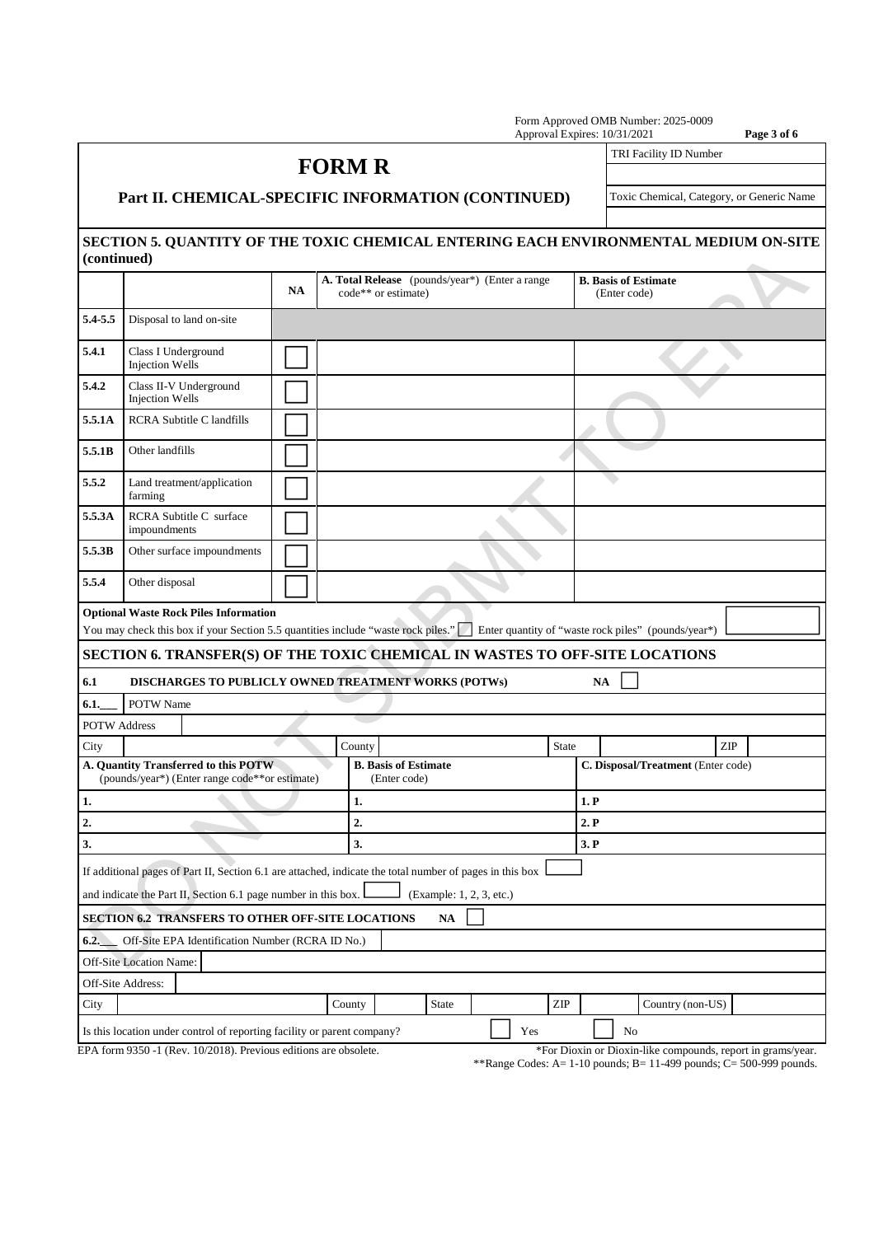|                     |                                                                                                                                   |           |                                                |                                             |              |                          |                             |      | Form Approved OMB Number: 2025-0009<br>Approval Expires: 10/31/2021 | Page 3 of 6                 |  |  |
|---------------------|-----------------------------------------------------------------------------------------------------------------------------------|-----------|------------------------------------------------|---------------------------------------------|--------------|--------------------------|-----------------------------|------|---------------------------------------------------------------------|-----------------------------|--|--|
|                     |                                                                                                                                   |           | <b>FORM R</b>                                  |                                             |              |                          |                             |      | TRI Facility ID Number                                              |                             |  |  |
|                     |                                                                                                                                   |           |                                                |                                             |              |                          |                             |      |                                                                     |                             |  |  |
|                     | Part II. CHEMICAL-SPECIFIC INFORMATION (CONTINUED)<br>Toxic Chemical, Category, or Generic Name                                   |           |                                                |                                             |              |                          |                             |      |                                                                     |                             |  |  |
|                     |                                                                                                                                   |           |                                                |                                             |              |                          |                             |      |                                                                     |                             |  |  |
| (continued)         | SECTION 5. QUANTITY OF THE TOXIC CHEMICAL ENTERING EACH ENVIRONMENTAL MEDIUM ON-SITE                                              |           |                                                |                                             |              |                          |                             |      |                                                                     |                             |  |  |
|                     |                                                                                                                                   | <b>NA</b> | A. Total Release (pounds/year*) (Enter a range | code** or estimate)                         |              |                          |                             |      | <b>B.</b> Basis of Estimate<br>(Enter code)                         |                             |  |  |
| 5.4-5.5             | Disposal to land on-site                                                                                                          |           |                                                |                                             |              |                          |                             |      |                                                                     |                             |  |  |
| 5.4.1               | Class I Underground<br><b>Injection Wells</b>                                                                                     |           |                                                |                                             |              |                          |                             |      |                                                                     |                             |  |  |
| 5.4.2               | Class II-V Underground<br><b>Injection Wells</b>                                                                                  |           |                                                |                                             |              |                          |                             |      |                                                                     |                             |  |  |
| 5.5.1A              | <b>RCRA Subtitle C landfills</b>                                                                                                  |           |                                                |                                             |              |                          |                             |      |                                                                     |                             |  |  |
| 5.5.1B              | Other landfills                                                                                                                   |           |                                                |                                             |              |                          |                             |      |                                                                     |                             |  |  |
| 5.5.2               | Land treatment/application<br>farming                                                                                             |           |                                                |                                             |              |                          |                             |      |                                                                     |                             |  |  |
| 5.5.3A              | RCRA Subtitle C surface<br>impoundments                                                                                           |           |                                                |                                             |              |                          |                             |      |                                                                     |                             |  |  |
| 5.5.3B              | Other surface impoundments                                                                                                        |           |                                                |                                             |              |                          |                             |      |                                                                     |                             |  |  |
| 5.5.4               | Other disposal                                                                                                                    |           |                                                |                                             |              |                          |                             |      |                                                                     |                             |  |  |
|                     | <b>Optional Waste Rock Piles Information</b><br>You may check this box if your Section 5.5 quantities include "waste rock piles." |           |                                                |                                             |              |                          |                             |      | Enter quantity of "waste rock piles" (pounds/year*)                 |                             |  |  |
|                     | SECTION 6. TRANSFER(S) OF THE TOXIC CHEMICAL IN WASTES TO OFF-SITE LOCATIONS                                                      |           |                                                |                                             |              |                          |                             |      |                                                                     |                             |  |  |
| 6.1                 | DISCHARGES TO PUBLICLY OWNED TREATMENT WORKS (POTWs)                                                                              |           |                                                |                                             |              |                          |                             |      | <b>NA</b>                                                           |                             |  |  |
| 6.1.                | POTW Name                                                                                                                         |           |                                                |                                             |              |                          |                             |      |                                                                     |                             |  |  |
| <b>POTW Address</b> |                                                                                                                                   |           |                                                |                                             |              |                          |                             |      |                                                                     |                             |  |  |
| City                |                                                                                                                                   |           | County                                         |                                             |              |                          | State                       |      |                                                                     | $\ensuremath{\mathrm{ZIP}}$ |  |  |
|                     | A. Quantity Transferred to this POTW<br>(pounds/year*) (Enter range code**or estimate)                                            |           |                                                | <b>B.</b> Basis of Estimate<br>(Enter code) |              |                          |                             |      | C. Disposal/Treatment (Enter code)                                  |                             |  |  |
| 1.                  |                                                                                                                                   |           | 1.                                             |                                             |              |                          |                             | 1. P |                                                                     |                             |  |  |
| 2.                  |                                                                                                                                   |           | 2.                                             |                                             |              |                          |                             | 2. P |                                                                     |                             |  |  |
| 3.                  |                                                                                                                                   |           | 3.                                             |                                             |              |                          |                             | 3. P |                                                                     |                             |  |  |
|                     | If additional pages of Part II, Section 6.1 are attached, indicate the total number of pages in this box                          |           |                                                |                                             |              |                          |                             |      |                                                                     |                             |  |  |
|                     | and indicate the Part II, Section 6.1 page number in this box.                                                                    |           |                                                |                                             |              | (Example: 1, 2, 3, etc.) |                             |      |                                                                     |                             |  |  |
|                     | SECTION 6.2 TRANSFERS TO OTHER OFF-SITE LOCATIONS                                                                                 |           |                                                |                                             | NA           |                          |                             |      |                                                                     |                             |  |  |
| 6.2.                | Off-Site EPA Identification Number (RCRA ID No.)                                                                                  |           |                                                |                                             |              |                          |                             |      |                                                                     |                             |  |  |
|                     | Off-Site Location Name:                                                                                                           |           |                                                |                                             |              |                          |                             |      |                                                                     |                             |  |  |
|                     | Off-Site Address:                                                                                                                 |           |                                                |                                             |              |                          |                             |      |                                                                     |                             |  |  |
| City                |                                                                                                                                   |           | County                                         |                                             | <b>State</b> |                          | $\ensuremath{\mathrm{ZIP}}$ |      | Country (non-US)                                                    |                             |  |  |
|                     | Is this location under control of reporting facility or parent company?                                                           |           |                                                |                                             |              |                          | Yes                         |      | No                                                                  |                             |  |  |
|                     | EPA form 9350 -1 (Rev. 10/2018). Previous editions are obsolete.                                                                  |           |                                                |                                             |              |                          |                             |      | *For Dioxin or Dioxin-like compounds, report in grams/year.         |                             |  |  |

\*\*Range Codes: A= 1-10 pounds; B= 11-499 pounds;  $\dot{C}$ = 500-999 pounds.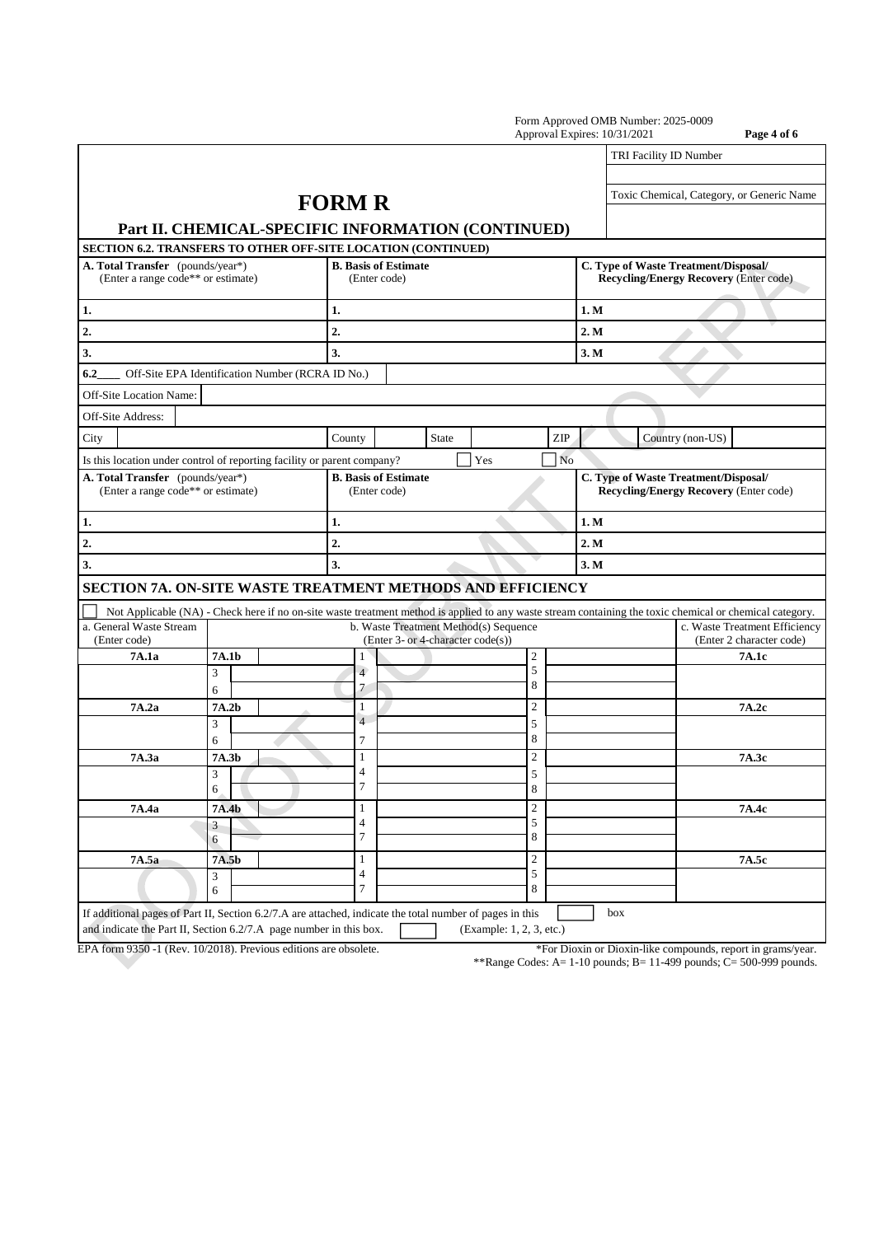|                                                                                                                                                                                |                                                    |                                             |                                                                            |                          | Approval Expires: 10/31/2021 | Page 4 of 6                                                                                                                                              |  |  |
|--------------------------------------------------------------------------------------------------------------------------------------------------------------------------------|----------------------------------------------------|---------------------------------------------|----------------------------------------------------------------------------|--------------------------|------------------------------|----------------------------------------------------------------------------------------------------------------------------------------------------------|--|--|
|                                                                                                                                                                                |                                                    |                                             |                                                                            |                          | TRI Facility ID Number       |                                                                                                                                                          |  |  |
|                                                                                                                                                                                | Part II. CHEMICAL-SPECIFIC INFORMATION (CONTINUED) | <b>FORM R</b>                               |                                                                            |                          |                              | Toxic Chemical, Category, or Generic Name                                                                                                                |  |  |
| SECTION 6.2. TRANSFERS TO OTHER OFF-SITE LOCATION (CONTINUED)                                                                                                                  |                                                    |                                             |                                                                            |                          |                              |                                                                                                                                                          |  |  |
| A. Total Transfer (pounds/year*)<br>(Enter a range code** or estimate)                                                                                                         |                                                    | <b>B.</b> Basis of Estimate<br>(Enter code) |                                                                            |                          |                              | C. Type of Waste Treatment/Disposal/<br><b>Recycling/Energy Recovery (Enter code)</b>                                                                    |  |  |
| 1.                                                                                                                                                                             |                                                    | 1.                                          |                                                                            |                          | 1. M                         |                                                                                                                                                          |  |  |
| 2.                                                                                                                                                                             |                                                    | 2.                                          |                                                                            |                          | 2. M                         |                                                                                                                                                          |  |  |
| 3.                                                                                                                                                                             |                                                    | 3.                                          |                                                                            |                          | 3. M                         |                                                                                                                                                          |  |  |
| 6.2                                                                                                                                                                            | Off-Site EPA Identification Number (RCRA ID No.)   |                                             |                                                                            |                          |                              |                                                                                                                                                          |  |  |
| Off-Site Location Name:                                                                                                                                                        |                                                    |                                             |                                                                            |                          |                              |                                                                                                                                                          |  |  |
| Off-Site Address:                                                                                                                                                              |                                                    |                                             |                                                                            |                          |                              |                                                                                                                                                          |  |  |
| City                                                                                                                                                                           |                                                    | County                                      | <b>State</b>                                                               | ZIP                      |                              | Country (non-US)                                                                                                                                         |  |  |
| Is this location under control of reporting facility or parent company?                                                                                                        |                                                    |                                             | Yes                                                                        | N <sub>o</sub>           |                              |                                                                                                                                                          |  |  |
| A. Total Transfer (pounds/year*)<br>(Enter a range code** or estimate)                                                                                                         |                                                    | <b>B.</b> Basis of Estimate<br>(Enter code) |                                                                            |                          |                              | C. Type of Waste Treatment/Disposal/<br><b>Recycling/Energy Recovery (Enter code)</b>                                                                    |  |  |
| 1.                                                                                                                                                                             |                                                    | 1.                                          |                                                                            |                          | 1. M                         |                                                                                                                                                          |  |  |
| 2.                                                                                                                                                                             |                                                    | $\overline{2}$                              |                                                                            |                          | 2. M                         |                                                                                                                                                          |  |  |
| 3.                                                                                                                                                                             |                                                    | 3.                                          |                                                                            |                          | 3. M                         |                                                                                                                                                          |  |  |
| SECTION 7A. ON-SITE WASTE TREATMENT METHODS AND EFFICIENCY                                                                                                                     |                                                    |                                             |                                                                            |                          |                              |                                                                                                                                                          |  |  |
|                                                                                                                                                                                |                                                    |                                             |                                                                            |                          |                              | Not Applicable (NA) - Check here if no on-site waste treatment method is applied to any waste stream containing the toxic chemical or chemical category. |  |  |
| a. General Waste Stream<br>(Enter code)                                                                                                                                        |                                                    |                                             | b. Waste Treatment Method(s) Sequence<br>(Enter 3- or 4-character code(s)) |                          |                              | c. Waste Treatment Efficiency<br>(Enter 2 character code)                                                                                                |  |  |
| 7A.1a                                                                                                                                                                          | 7A.1b                                              | 1                                           |                                                                            | $\overline{2}$           |                              | 7A.1c                                                                                                                                                    |  |  |
|                                                                                                                                                                                | 3<br>6                                             | $\overline{4}$<br>7                         |                                                                            | 5<br>8                   |                              |                                                                                                                                                          |  |  |
| 7A.2a                                                                                                                                                                          | 7A.2b                                              | 1                                           |                                                                            | $\overline{c}$           |                              | 7A.2c                                                                                                                                                    |  |  |
|                                                                                                                                                                                | 3<br>6                                             | $\overline{4}$<br>7                         |                                                                            | 5<br>8                   |                              |                                                                                                                                                          |  |  |
| 7A.3a                                                                                                                                                                          | 7A.3b                                              | 1                                           |                                                                            | $\overline{2}$           |                              | 7A.3c                                                                                                                                                    |  |  |
|                                                                                                                                                                                | 3<br>6                                             | $\overline{4}$<br>7                         |                                                                            | 5<br>8                   |                              |                                                                                                                                                          |  |  |
| 7A.4a                                                                                                                                                                          | 7A.4b                                              | $\mathbf{1}$                                |                                                                            | $\overline{c}$           |                              | 7A.4c                                                                                                                                                    |  |  |
|                                                                                                                                                                                | 3<br>6                                             | $\overline{4}$<br>$\tau$                    |                                                                            | 5<br>8                   |                              |                                                                                                                                                          |  |  |
| 7A.5a                                                                                                                                                                          | 7A.5b                                              | $\mathbf{1}$                                |                                                                            | $\sqrt{2}$               |                              | 7A.5c                                                                                                                                                    |  |  |
|                                                                                                                                                                                | 3<br>6                                             | 4<br>7                                      |                                                                            | $\sqrt{5}$<br>8          |                              |                                                                                                                                                          |  |  |
| If additional pages of Part II, Section 6.2/7.A are attached, indicate the total number of pages in this<br>and indicate the Part II, Section 6.2/7.A page number in this box. |                                                    |                                             |                                                                            | (Example: 1, 2, 3, etc.) | box                          |                                                                                                                                                          |  |  |

EPA form 9350 -1 (Rev. 10/2018). Previous editions are obsolete. \*For Dioxin or Dioxin-like compounds, report in grams/year.

\*\*Range Codes: A=  $1-10$  pounds; B=  $11-499$  pounds; C= 500-999 pounds.

Form Approved OMB Number: 2025-0009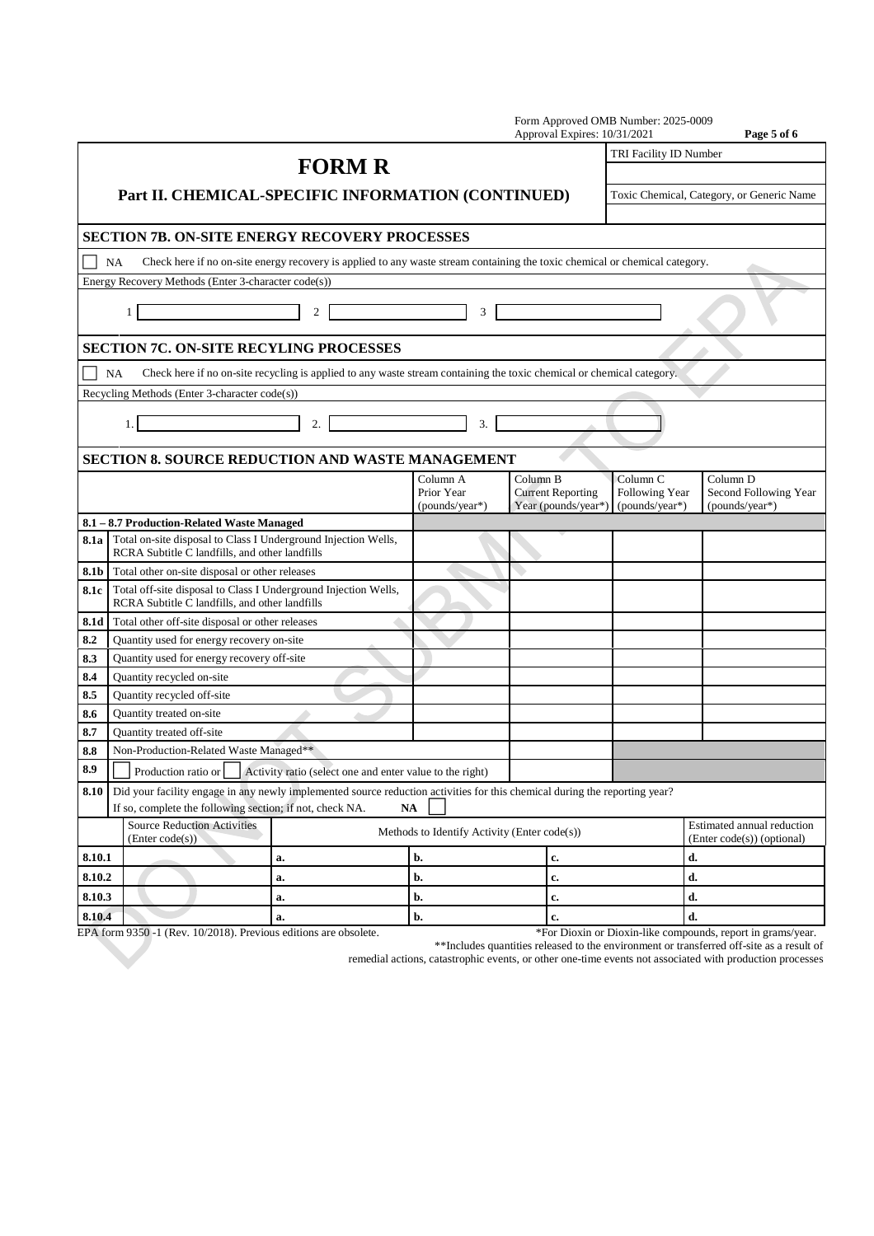|            |                                                       |                                                                                                                             |                                              |                                                          |                                          |  | Form Approved OMB Number: 2025-0009<br>Approval Expires: 10/31/2021 |  |                                                         |                            | Page 5 of 6           |
|------------|-------------------------------------------------------|-----------------------------------------------------------------------------------------------------------------------------|----------------------------------------------|----------------------------------------------------------|------------------------------------------|--|---------------------------------------------------------------------|--|---------------------------------------------------------|----------------------------|-----------------------|
|            |                                                       |                                                                                                                             |                                              |                                                          |                                          |  |                                                                     |  | TRI Facility ID Number                                  |                            |                       |
|            |                                                       |                                                                                                                             |                                              | <b>FORM R</b>                                            |                                          |  |                                                                     |  |                                                         |                            |                       |
|            |                                                       | Part II. CHEMICAL-SPECIFIC INFORMATION (CONTINUED)                                                                          |                                              |                                                          |                                          |  |                                                                     |  | Toxic Chemical, Category, or Generic Name               |                            |                       |
|            |                                                       | <b>SECTION 7B. ON-SITE ENERGY RECOVERY PROCESSES</b>                                                                        |                                              |                                                          |                                          |  |                                                                     |  |                                                         |                            |                       |
|            | <b>NA</b>                                             | Check here if no on-site energy recovery is applied to any waste stream containing the toxic chemical or chemical category. |                                              |                                                          |                                          |  |                                                                     |  |                                                         |                            |                       |
|            |                                                       | Energy Recovery Methods (Enter 3-character code(s))                                                                         |                                              |                                                          |                                          |  |                                                                     |  |                                                         |                            |                       |
|            |                                                       | $\mathbf{1}$                                                                                                                | 2                                            |                                                          | 3                                        |  |                                                                     |  |                                                         |                            |                       |
|            |                                                       | <b>SECTION 7C. ON-SITE RECYLING PROCESSES</b>                                                                               |                                              |                                                          |                                          |  |                                                                     |  |                                                         |                            |                       |
|            | NA                                                    | Check here if no on-site recycling is applied to any waste stream containing the toxic chemical or chemical category.       |                                              |                                                          |                                          |  |                                                                     |  |                                                         |                            |                       |
|            |                                                       | Recycling Methods (Enter 3-character code(s))                                                                               |                                              |                                                          |                                          |  |                                                                     |  |                                                         |                            |                       |
|            |                                                       | 1.1                                                                                                                         | 2.                                           |                                                          | 3.                                       |  |                                                                     |  |                                                         |                            |                       |
|            |                                                       | <b>SECTION 8. SOURCE REDUCTION AND WASTE MANAGEMENT</b>                                                                     |                                              |                                                          |                                          |  |                                                                     |  |                                                         |                            |                       |
|            |                                                       |                                                                                                                             |                                              |                                                          | Column A<br>Prior Year<br>(pounds/year*) |  | Column B<br><b>Current Reporting</b><br>Year (pounds/year*)         |  | Column <sub>C</sub><br>Following Year<br>(pounds/year*) | Column D<br>(pounds/year*) | Second Following Year |
|            |                                                       | 8.1 - 8.7 Production-Related Waste Managed                                                                                  |                                              |                                                          |                                          |  |                                                                     |  |                                                         |                            |                       |
|            |                                                       | 8.1a   Total on-site disposal to Class I Underground Injection Wells,<br>RCRA Subtitle C landfills, and other landfills     |                                              |                                                          |                                          |  |                                                                     |  |                                                         |                            |                       |
| 8.1b       |                                                       | Total other on-site disposal or other releases                                                                              |                                              |                                                          |                                          |  | $\rightarrow$                                                       |  |                                                         |                            |                       |
| 8.1c       |                                                       | Total off-site disposal to Class I Underground Injection Wells,<br>RCRA Subtitle C landfills, and other landfills           |                                              |                                                          |                                          |  |                                                                     |  |                                                         |                            |                       |
| 8.1d       | Total other off-site disposal or other releases       |                                                                                                                             |                                              |                                                          |                                          |  |                                                                     |  |                                                         |                            |                       |
| 8.2        |                                                       | Quantity used for energy recovery on-site                                                                                   |                                              |                                                          |                                          |  |                                                                     |  |                                                         |                            |                       |
| 8.3        |                                                       | Quantity used for energy recovery off-site                                                                                  |                                              |                                                          |                                          |  |                                                                     |  |                                                         |                            |                       |
| 8.4        |                                                       | Quantity recycled on-site                                                                                                   |                                              |                                                          |                                          |  |                                                                     |  |                                                         |                            |                       |
| 8.5        |                                                       | Quantity recycled off-site                                                                                                  |                                              |                                                          |                                          |  |                                                                     |  |                                                         |                            |                       |
| 8.6        |                                                       | Quantity treated on-site                                                                                                    |                                              |                                                          |                                          |  |                                                                     |  |                                                         |                            |                       |
| 8.7        |                                                       | Quantity treated off-site                                                                                                   |                                              |                                                          |                                          |  |                                                                     |  |                                                         |                            |                       |
| 8.8<br>8.9 | $\Box$                                                | Non-Production-Related Waste Managed**<br>Production ratio or $\Box$                                                        |                                              | Activity ratio (select one and enter value to the right) |                                          |  |                                                                     |  |                                                         |                            |                       |
| 8.10       |                                                       | Did your facility engage in any newly implemented source reduction activities for this chemical during the reporting year?  |                                              |                                                          |                                          |  |                                                                     |  |                                                         |                            |                       |
|            |                                                       | If so, complete the following section; if not, check NA.                                                                    |                                              |                                                          | <b>NA</b>                                |  |                                                                     |  |                                                         |                            |                       |
|            | <b>Source Reduction Activities</b><br>(Enter code(s)) |                                                                                                                             | Methods to Identify Activity (Enter code(s)) |                                                          |                                          |  | Estimated annual reduction<br>(Enter code(s)) (optional)            |  |                                                         |                            |                       |
| 8.10.1     |                                                       |                                                                                                                             | a.                                           |                                                          | b.                                       |  | c.                                                                  |  |                                                         | d.                         |                       |
| 8.10.2     |                                                       |                                                                                                                             | a.                                           |                                                          | b.                                       |  | c.                                                                  |  |                                                         | d.                         |                       |
| 8.10.3     |                                                       |                                                                                                                             | a.                                           |                                                          | b.                                       |  | c.                                                                  |  |                                                         | d.                         |                       |
| 8.10.4     |                                                       |                                                                                                                             | a.                                           |                                                          | b.                                       |  | c.                                                                  |  |                                                         | d.                         |                       |

EPA form 9350 -1 (Rev. 10/2018). Previous editions are obsolete. \*For Dioxin or Dioxin-like compounds, report in grams/year.

\*\*Includes quantities released to the environment or transferred off-site as a result of remedial actions, catastrophic events, or other one-time events not associated with production processes